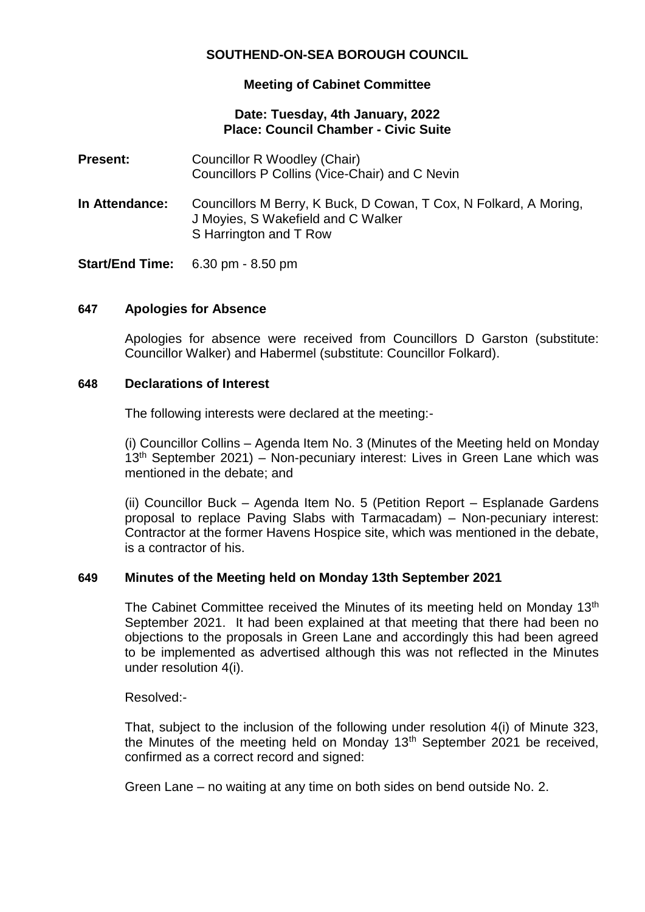# **SOUTHEND-ON-SEA BOROUGH COUNCIL**

## **Meeting of Cabinet Committee**

### **Date: Tuesday, 4th January, 2022 Place: Council Chamber - Civic Suite**

| <b>Present:</b>        | Councillor R Woodley (Chair)<br>Councillors P Collins (Vice-Chair) and C Nevin                                                    |
|------------------------|-----------------------------------------------------------------------------------------------------------------------------------|
| In Attendance:         | Councillors M Berry, K Buck, D Cowan, T Cox, N Folkard, A Moring,<br>J Moyies, S Wakefield and C Walker<br>S Harrington and T Row |
| <b>Start/End Time:</b> | 6.30 pm $-8.50$ pm                                                                                                                |

#### **647 Apologies for Absence**

Apologies for absence were received from Councillors D Garston (substitute: Councillor Walker) and Habermel (substitute: Councillor Folkard).

#### **648 Declarations of Interest**

The following interests were declared at the meeting:-

(i) Councillor Collins – Agenda Item No. 3 (Minutes of the Meeting held on Monday  $13<sup>th</sup>$  September 2021) – Non-pecuniary interest: Lives in Green Lane which was mentioned in the debate; and

(ii) Councillor Buck – Agenda Item No. 5 (Petition Report – Esplanade Gardens proposal to replace Paving Slabs with Tarmacadam) – Non-pecuniary interest: Contractor at the former Havens Hospice site, which was mentioned in the debate, is a contractor of his.

#### **649 Minutes of the Meeting held on Monday 13th September 2021**

The Cabinet Committee received the Minutes of its meeting held on Monday 13<sup>th</sup> September 2021. It had been explained at that meeting that there had been no objections to the proposals in Green Lane and accordingly this had been agreed to be implemented as advertised although this was not reflected in the Minutes under resolution 4(i).

Resolved:-

That, subject to the inclusion of the following under resolution 4(i) of Minute 323, the Minutes of the meeting held on Monday  $13<sup>th</sup>$  September 2021 be received, confirmed as a correct record and signed:

Green Lane – no waiting at any time on both sides on bend outside No. 2.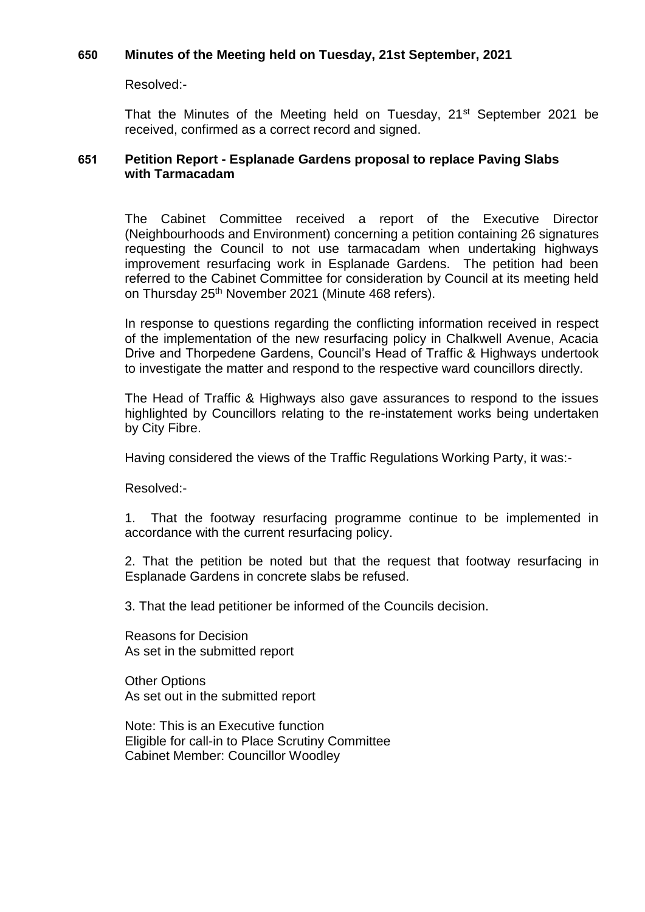### **650 Minutes of the Meeting held on Tuesday, 21st September, 2021**

Resolved:-

That the Minutes of the Meeting held on Tuesday, 21<sup>st</sup> September 2021 be received, confirmed as a correct record and signed.

### **651 Petition Report - Esplanade Gardens proposal to replace Paving Slabs with Tarmacadam**

The Cabinet Committee received a report of the Executive Director (Neighbourhoods and Environment) concerning a petition containing 26 signatures requesting the Council to not use tarmacadam when undertaking highways improvement resurfacing work in Esplanade Gardens. The petition had been referred to the Cabinet Committee for consideration by Council at its meeting held on Thursday 25<sup>th</sup> November 2021 (Minute 468 refers).

In response to questions regarding the conflicting information received in respect of the implementation of the new resurfacing policy in Chalkwell Avenue, Acacia Drive and Thorpedene Gardens, Council's Head of Traffic & Highways undertook to investigate the matter and respond to the respective ward councillors directly.

The Head of Traffic & Highways also gave assurances to respond to the issues highlighted by Councillors relating to the re-instatement works being undertaken by City Fibre.

Having considered the views of the Traffic Regulations Working Party, it was:-

Resolved:-

1. That the footway resurfacing programme continue to be implemented in accordance with the current resurfacing policy.

2. That the petition be noted but that the request that footway resurfacing in Esplanade Gardens in concrete slabs be refused.

3. That the lead petitioner be informed of the Councils decision.

Reasons for Decision As set in the submitted report

Other Options As set out in the submitted report

Note: This is an Executive function Eligible for call-in to Place Scrutiny Committee Cabinet Member: Councillor Woodley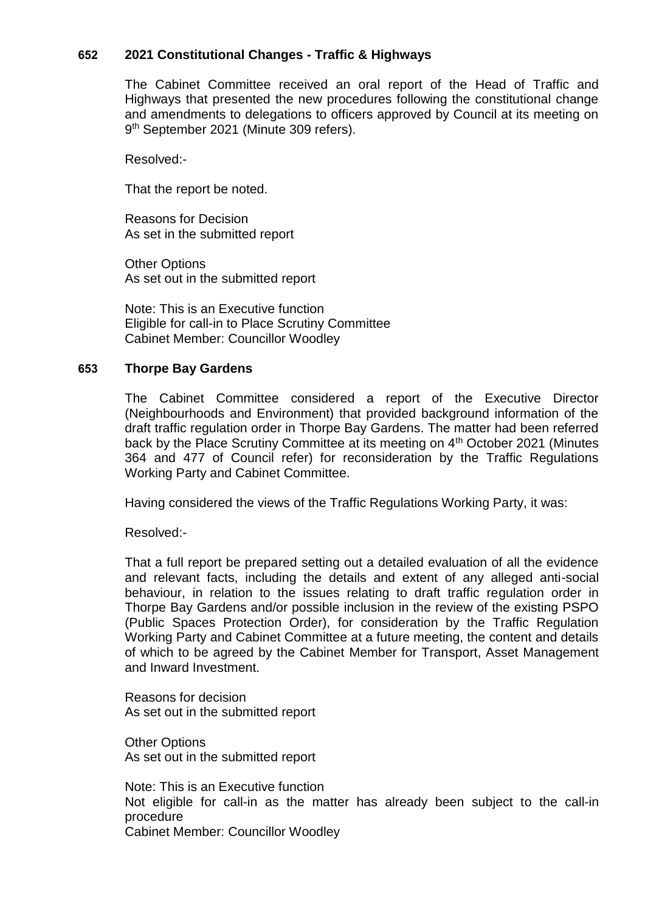## **652 2021 Constitutional Changes - Traffic & Highways**

The Cabinet Committee received an oral report of the Head of Traffic and Highways that presented the new procedures following the constitutional change and amendments to delegations to officers approved by Council at its meeting on 9 th September 2021 (Minute 309 refers).

Resolved:-

That the report be noted.

Reasons for Decision As set in the submitted report

Other Options As set out in the submitted report

Note: This is an Executive function Eligible for call-in to Place Scrutiny Committee Cabinet Member: Councillor Woodley

#### **653 Thorpe Bay Gardens**

The Cabinet Committee considered a report of the Executive Director (Neighbourhoods and Environment) that provided background information of the draft traffic regulation order in Thorpe Bay Gardens. The matter had been referred back by the Place Scrutiny Committee at its meeting on 4<sup>th</sup> October 2021 (Minutes 364 and 477 of Council refer) for reconsideration by the Traffic Regulations Working Party and Cabinet Committee.

Having considered the views of the Traffic Regulations Working Party, it was:

## Resolved:-

That a full report be prepared setting out a detailed evaluation of all the evidence and relevant facts, including the details and extent of any alleged anti-social behaviour, in relation to the issues relating to draft traffic regulation order in Thorpe Bay Gardens and/or possible inclusion in the review of the existing PSPO (Public Spaces Protection Order), for consideration by the Traffic Regulation Working Party and Cabinet Committee at a future meeting, the content and details of which to be agreed by the Cabinet Member for Transport, Asset Management and Inward Investment.

Reasons for decision As set out in the submitted report

Other Options As set out in the submitted report

Note: This is an Executive function Not eligible for call-in as the matter has already been subject to the call-in procedure Cabinet Member: Councillor Woodley